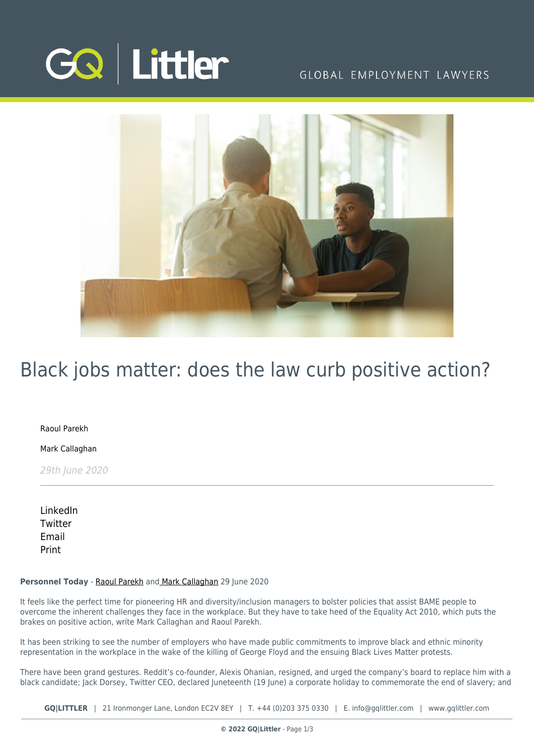

## GLOBAL EMPLOYMENT LAWYERS



## Black jobs matter: does the law curb positive action?

[Raoul Parekh](https://www.gqlittler.com/about-us/the-team/raoul-parekh)

[Mark Callaghan](https://www.gqlittler.com/about-us/the-team/mark-callaghan)

29th June 2020

[LinkedIn](https://www.linkedin.com/shareArticle?mini=true&url=https%3A%2F%2Fwww.gqlittler.com%2Fresources%2Fnews-and-views%2F1338-black-jobs-matter-does-the-law-curb-positive-action.htm%3Funlock%3Dtrue&title=Black+jobs+matter%3A+does+the+law+curb+positive+action%3F&summary=What+comfort+can+employers+take+in+the+fact+that+the+positive+action+provisions+are+widely+defined+under+the+Equality+Act+2010%3F&source=GQ+%7C+Littler) **[Twitter](https://twitter.com/share?text=Black+jobs+matter%3A+does+the+law+curb+positive+action%3F&url=https%3A%2F%2Fwww.gqlittler.com%2Fresources%2Fnews-and-views%2F1338-black-jobs-matter-does-the-law-curb-positive-action.htm&hashtags=)** [Email](mailto:?subject=Black jobs matter: does the law curb positive action?&body=I) [Print](https://www.bg-pdf.co.uk/_GQ/page.php?M=6148523063484d364c793933643363755a33467361585230624756794c6d4e76625339795a584e7664584a6a5a584d76626d563363793168626d5174646d6c6c64334d764d544d7a4f4331696247466a6179317162324a7a4c5731686448526c6369316b6232567a4c58526f5a53317359586374593356795969317762334e7064476c325a5331685933527062323475614852744930416a516d786859327367616d396963794274595852305a584936494752765a584d676447686c494778686479426a64584a694948427663326c3061585a6c4947466a64476c76626a386a51434d784d7a4d344c574a7359574e724c577076596e4d7462574630644756794c5752765a584d746447686c4c5778686479316a64584a694c58427663326c3061585a6c4c57466a64476c7662673d3d)

## **Personnel Today** - [Raoul Parekh](https://www.gqlittler.com/about-us/the-team/raoul-parekh) and [Mark Callaghan](https://www.gqlittler.com/about-us/the-team/mark-callaghan) 29 June 2020

It feels like the perfect time for pioneering HR and diversity/inclusion managers to bolster policies that assist BAME people to overcome the inherent challenges they face in the workplace. But they have to take heed of the Equality Act 2010, which puts the brakes on positive action, write Mark Callaghan and Raoul Parekh.

It has been striking to see the number of employers who have made public commitments to improve black and ethnic minority representation in the workplace in the wake of the killing of George Floyd and the ensuing Black Lives Matter protests.

There have been grand gestures. Reddit's co-founder, Alexis Ohanian, resigned, and urged the company's board to replace him with a black candidate; Jack Dorsey, Twitter CEO, declared Juneteenth (19 June) a corporate holiday to commemorate the end of slavery; and

**GQ|LITTLER** | 21 Ironmonger Lane, London EC2V 8EY | T. [+44 \(0\)203 375 0330](https://www.bg-pdf.co.uk/_GQ/tel:+442033750330) | E. [info@gqlittler.com](mailto:info@gqlittler.com) | [www.gqlittler.com](https://www.gqlittler.com)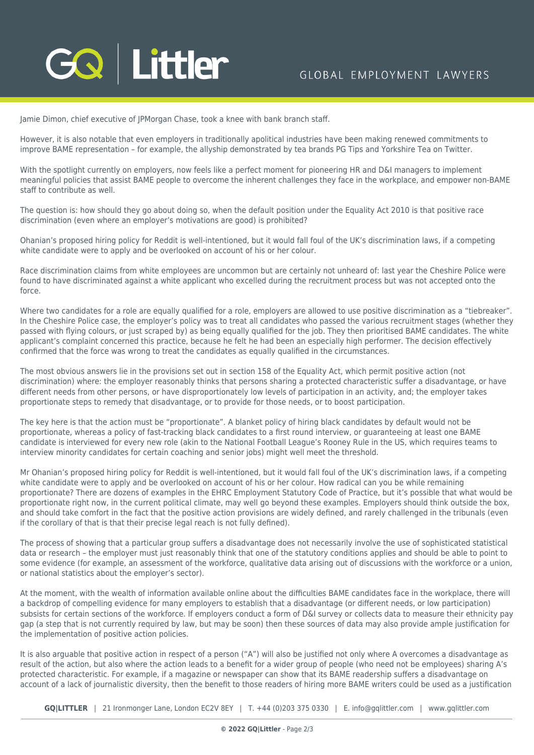Jamie Dimon, chief executive of JPMorgan Chase, took a knee with bank branch staff.

However, it is also notable that even employers in traditionally apolitical industries have been making renewed commitments to improve BAME representation – for example, the allyship demonstrated by tea brands PG Tips and Yorkshire Tea on Twitter.

With the spotlight currently on employers, now feels like a perfect moment for pioneering HR and D&I managers to implement meaningful policies that assist BAME people to overcome the inherent challenges they face in the workplace, and empower non-BAME staff to contribute as well.

The question is: how should they go about doing so, when the default position under the Equality Act 2010 is that positive race discrimination (even where an employer's motivations are good) is prohibited?

Ohanian's proposed hiring policy for Reddit is well-intentioned, but it would fall foul of the UK's discrimination laws, if a competing white candidate were to apply and be overlooked on account of his or her colour.

Race discrimination claims from white employees are uncommon but are certainly not unheard of: last year the Cheshire Police were found to have discriminated against a white applicant who excelled during the recruitment process but was not accepted onto the force.

Where two candidates for a role are equally qualified for a role, employers are allowed to use positive discrimination as a "tiebreaker". In the Cheshire Police case, the employer's policy was to treat all candidates who passed the various recruitment stages (whether they passed with flying colours, or just scraped by) as being equally qualified for the job. They then prioritised BAME candidates. The white applicant's complaint concerned this practice, because he felt he had been an especially high performer. The decision effectively confirmed that the force was wrong to treat the candidates as equally qualified in the circumstances.

The most obvious answers lie in the provisions set out in section 158 of the Equality Act, which permit positive action (not discrimination) where: the employer reasonably thinks that persons sharing a protected characteristic suffer a disadvantage, or have different needs from other persons, or have disproportionately low levels of participation in an activity, and; the employer takes proportionate steps to remedy that disadvantage, or to provide for those needs, or to boost participation.

The key here is that the action must be "proportionate". A blanket policy of hiring black candidates by default would not be proportionate, whereas a policy of fast-tracking black candidates to a first round interview, or guaranteeing at least one BAME candidate is interviewed for every new role (akin to the National Football League's Rooney Rule in the US, which requires teams to interview minority candidates for certain coaching and senior jobs) might well meet the threshold.

Mr Ohanian's proposed hiring policy for Reddit is well-intentioned, but it would fall foul of the UK's discrimination laws, if a competing white candidate were to apply and be overlooked on account of his or her colour. How radical can you be while remaining proportionate? There are dozens of examples in the EHRC Employment Statutory Code of Practice, but it's possible that what would be proportionate right now, in the current political climate, may well go beyond these examples. Employers should think outside the box, and should take comfort in the fact that the positive action provisions are widely defined, and rarely challenged in the tribunals (even if the corollary of that is that their precise legal reach is not fully defined).

The process of showing that a particular group suffers a disadvantage does not necessarily involve the use of sophisticated statistical data or research – the employer must just reasonably think that one of the statutory conditions applies and should be able to point to some evidence (for example, an assessment of the workforce, qualitative data arising out of discussions with the workforce or a union, or national statistics about the employer's sector).

At the moment, with the wealth of information available online about the difficulties BAME candidates face in the workplace, there will a backdrop of compelling evidence for many employers to establish that a disadvantage (or different needs, or low participation) subsists for certain sections of the workforce. If employers conduct a form of D&I survey or collects data to measure their ethnicity pay gap (a step that is not currently required by law, but may be soon) then these sources of data may also provide ample justification for the implementation of positive action policies.

It is also arguable that positive action in respect of a person ("A") will also be justified not only where A overcomes a disadvantage as result of the action, but also where the action leads to a benefit for a wider group of people (who need not be employees) sharing A's protected characteristic. For example, if a magazine or newspaper can show that its BAME readership suffers a disadvantage on account of a lack of journalistic diversity, then the benefit to those readers of hiring more BAME writers could be used as a justification

**GQ|LITTLER** | 21 Ironmonger Lane, London EC2V 8EY | T. [+44 \(0\)203 375 0330](https://www.bg-pdf.co.uk/_GQ/tel:+442033750330) | E. [info@gqlittler.com](mailto:info@gqlittler.com) | [www.gqlittler.com](https://www.gqlittler.com)